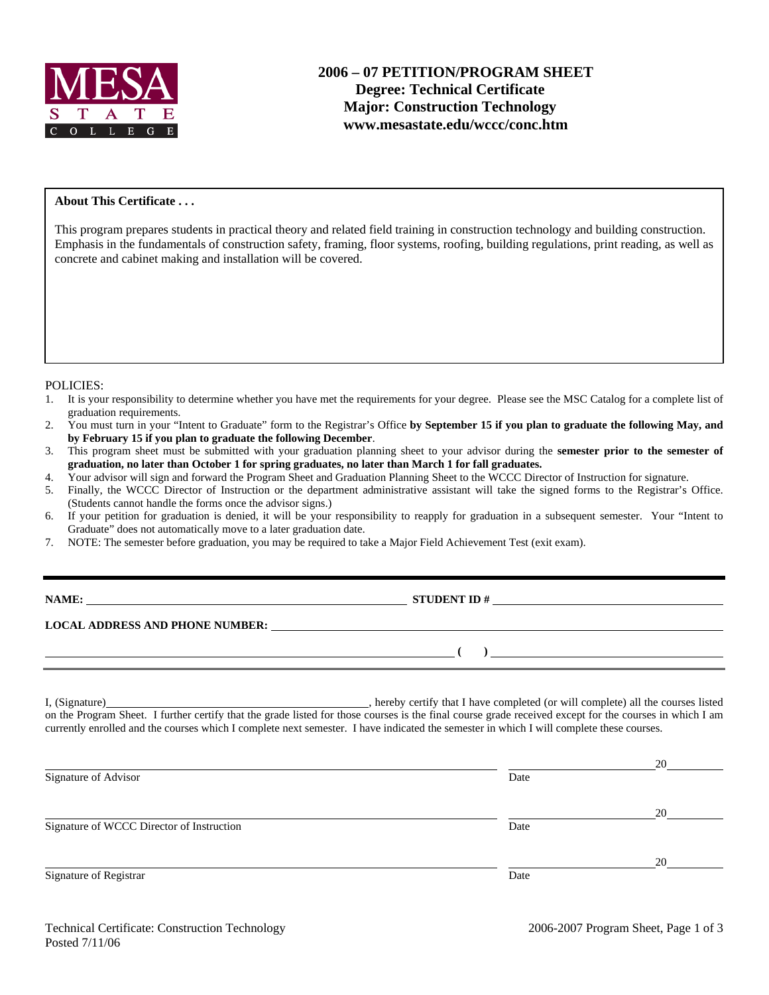

### **About This Certificate . . .**

This program prepares students in practical theory and related field training in construction technology and building construction. Emphasis in the fundamentals of construction safety, framing, floor systems, roofing, building regulations, print reading, as well as concrete and cabinet making and installation will be covered.

#### POLICIES:

- 1. It is your responsibility to determine whether you have met the requirements for your degree. Please see the MSC Catalog for a complete list of graduation requirements.
- 2. You must turn in your "Intent to Graduate" form to the Registrar's Office **by September 15 if you plan to graduate the following May, and by February 15 if you plan to graduate the following December**.
- 3. This program sheet must be submitted with your graduation planning sheet to your advisor during the **semester prior to the semester of graduation, no later than October 1 for spring graduates, no later than March 1 for fall graduates.**
- 4. Your advisor will sign and forward the Program Sheet and Graduation Planning Sheet to the WCCC Director of Instruction for signature.
- 5. Finally, the WCCC Director of Instruction or the department administrative assistant will take the signed forms to the Registrar's Office. (Students cannot handle the forms once the advisor signs.)
- 6. If your petition for graduation is denied, it will be your responsibility to reapply for graduation in a subsequent semester. Your "Intent to Graduate" does not automatically move to a later graduation date.
- 7. NOTE: The semester before graduation, you may be required to take a Major Field Achievement Test (exit exam).

**NAMES IN STUDENT ID #** 

 **( )** 

**LOCAL ADDRESS AND PHONE NUMBER:**

I, (Signature) , hereby certify that I have completed (or will complete) all the courses listed on the Program Sheet. I further certify that the grade listed for those courses is the final course grade received except for the courses in which I am currently enrolled and the courses which I complete next semester. I have indicated the semester in which I will complete these courses.

|                                           |      | 20 |
|-------------------------------------------|------|----|
| Signature of Advisor                      | Date |    |
|                                           |      | 20 |
| Signature of WCCC Director of Instruction | Date |    |
|                                           |      | 20 |
| Signature of Registrar                    | Date |    |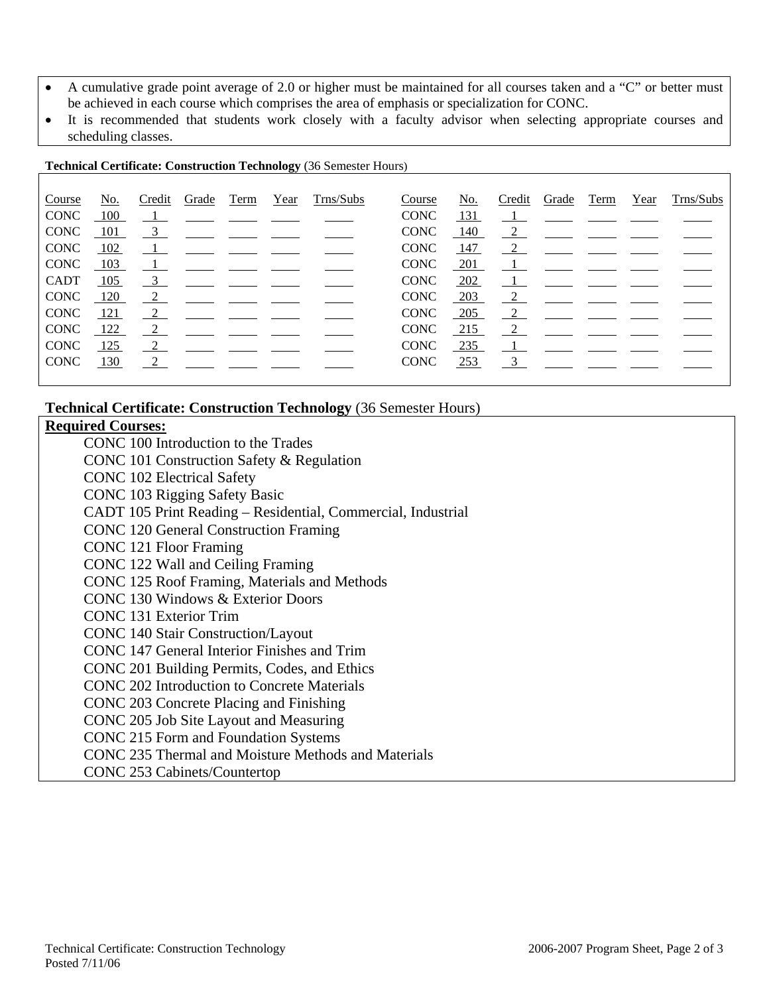- A cumulative grade point average of 2.0 or higher must be maintained for all courses taken and a "C" or better must be achieved in each course which comprises the area of emphasis or specialization for CONC.
- It is recommended that students work closely with a faculty advisor when selecting appropriate courses and scheduling classes.

#### **Technical Certificate: Construction Technology** (36 Semester Hours)

| Course      | No.            | Credit                  | Grade                                                                                                      | Term | Year | Trns/Subs                                                                                                                                                                    | Course      | No.   | Credit | Grade                                                                                                      | Term | Year | Trns/Subs |
|-------------|----------------|-------------------------|------------------------------------------------------------------------------------------------------------|------|------|------------------------------------------------------------------------------------------------------------------------------------------------------------------------------|-------------|-------|--------|------------------------------------------------------------------------------------------------------------|------|------|-----------|
| <b>CONC</b> | 100            |                         |                                                                                                            |      |      | $\underline{\hspace{1cm}1}$ , $\underline{\hspace{1cm}}$ , $\underline{\hspace{1cm}}$ , $\underline{\hspace{1cm}}$ , $\underline{\hspace{1cm}}$ , $\underline{\hspace{1cm}}$ | <b>CONC</b> | 131   |        | $\frac{1}{\sqrt{1-\frac{1}{2}}}$ and $\frac{1}{\sqrt{1-\frac{1}{2}}}$                                      |      |      |           |
| <b>CONC</b> | - 101          | $\overline{\mathbf{3}}$ |                                                                                                            |      |      |                                                                                                                                                                              | <b>CONC</b> | - 140 |        | $\frac{2}{\sqrt{2}}$ $\frac{2}{\sqrt{2}}$ $\frac{2}{\sqrt{2}}$                                             |      |      |           |
| <b>CONC</b> | 102            |                         | $\frac{1}{\sqrt{1-\frac{1}{2}}}$ and $\frac{1}{\sqrt{1-\frac{1}{2}}}$ and $\frac{1}{\sqrt{1-\frac{1}{2}}}$ |      |      |                                                                                                                                                                              | <b>CONC</b> | 147   |        | $\frac{2}{\pi}$ - -                                                                                        |      |      |           |
| <b>CONC</b> | $-103$         |                         |                                                                                                            |      |      |                                                                                                                                                                              | <b>CONC</b> | 201   |        | <u>_1__ ___ ___ ___</u>                                                                                    |      |      |           |
| <b>CADT</b> | 105            |                         | $\frac{3}{2}$ $\frac{1}{2}$ $\frac{1}{2}$ $\frac{1}{2}$                                                    |      |      |                                                                                                                                                                              | <b>CONC</b> | 202   |        | $\frac{1}{\sqrt{1-\frac{1}{2}}}$ and $\frac{1}{\sqrt{1-\frac{1}{2}}}$ and $\frac{1}{\sqrt{1-\frac{1}{2}}}$ |      |      |           |
| <b>CONC</b> | <sup>120</sup> |                         | $\frac{2}{\sqrt{2}}$ $\frac{2}{\sqrt{2}}$ $\frac{2}{\sqrt{2}}$ $\frac{2}{\sqrt{2}}$                        |      |      |                                                                                                                                                                              | <b>CONC</b> | 203   |        | $\frac{2}{\sqrt{2}}$                                                                                       |      |      |           |
| <b>CONC</b> | <u>121</u>     | 2                       |                                                                                                            |      |      |                                                                                                                                                                              | <b>CONC</b> | 205   |        | $\overline{2}$                                                                                             |      |      |           |
| <b>CONC</b> | 122            | 2                       |                                                                                                            |      |      |                                                                                                                                                                              | <b>CONC</b> | 215   |        | $\frac{2}{\sqrt{2}}$ $\frac{2}{\sqrt{2}}$                                                                  |      |      |           |
| <b>CONC</b> | 125            | $\frac{2}{2}$           |                                                                                                            |      |      |                                                                                                                                                                              | <b>CONC</b> | 235   |        |                                                                                                            |      |      |           |
| <b>CONC</b> | 130            | $\frac{2}{3}$           |                                                                                                            |      |      |                                                                                                                                                                              | <b>CONC</b> | 253   |        | $\frac{3}{2}$ $\frac{1}{2}$ $\frac{1}{2}$ $\frac{1}{2}$ $\frac{1}{2}$                                      |      |      |           |
|             |                |                         |                                                                                                            |      |      |                                                                                                                                                                              |             |       |        |                                                                                                            |      |      |           |

# **Technical Certificate: Construction Technology** (36 Semester Hours)

## **Required Courses:**

CONC 100 Introduction to the Trades CONC 101 Construction Safety & Regulation CONC 102 Electrical Safety CONC 103 Rigging Safety Basic CADT 105 Print Reading – Residential, Commercial, Industrial CONC 120 General Construction Framing CONC 121 Floor Framing CONC 122 Wall and Ceiling Framing CONC 125 Roof Framing, Materials and Methods CONC 130 Windows & Exterior Doors CONC 131 Exterior Trim CONC 140 Stair Construction/Layout CONC 147 General Interior Finishes and Trim CONC 201 Building Permits, Codes, and Ethics CONC 202 Introduction to Concrete Materials CONC 203 Concrete Placing and Finishing CONC 205 Job Site Layout and Measuring CONC 215 Form and Foundation Systems CONC 235 Thermal and Moisture Methods and Materials CONC 253 Cabinets/Countertop